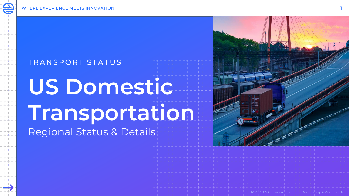## TRANSPORT STATUS

## **US Domestic Transportation** Regional Status & Details



2022 © BDP International, Inc. | Proprietary & Confidentia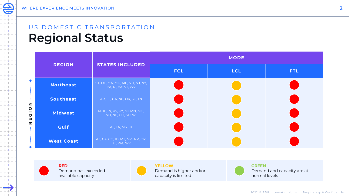$+ + +$  $+ + +$  $+ + +$  $+ + +$  $+ + +$  $+ + +$  $+ + +$  $+ + +$  $+ + +$  $+ + +$  $+ + +$  $+ + +$  $+ + +$  $+ + +$  $+ + +$  $+ + +$  $+ + +$  $+ + +$  $+ + +$  $+ + +$  $+ + +$  $+ + +$  $+ + +$  $+ + +$  $+ + +$  $+ + +$  $+ + +$  $+ + +$  $+ + +$  $+ + +$  $+ + + +$ 

## US DOMESTIC TRANSPORTATION **Regional Status**

|                   | <b>STATES INCLUDED</b>                                | <b>MODE</b> |            |            |
|-------------------|-------------------------------------------------------|-------------|------------|------------|
| <b>REGION</b>     |                                                       | <b>FCL</b>  | <b>LCL</b> | <b>FTL</b> |
| <b>Northeast</b>  | CT, DE, MA, MD, ME, NH, NJ, NY,<br>PA, RI, VA, VT, WV |             |            |            |
| Southeast         | AR, FL, GA, NC, OK, SC, TN                            |             |            |            |
| <b>Midwest</b>    | IA, IL, IN, KS, KY, MI, MN, MO,<br>ND, NE, OH, SD, WI |             |            |            |
| <b>Gulf</b>       | AL, LA, MS, TX                                        |             |            |            |
| <b>West Coast</b> | AZ, CA, CO, ID, MT, NM, NV, OR,<br>UT, WA, WY         |             |            |            |



**R E G I O N**

**RED** Demand has exceeded available capacity



**YELLOW** Demand is higher and/or capacity is limited



**GREEN** Demand and capacity are at normal levels

2022 © BDP International, Inc. | Proprietary & Confidential